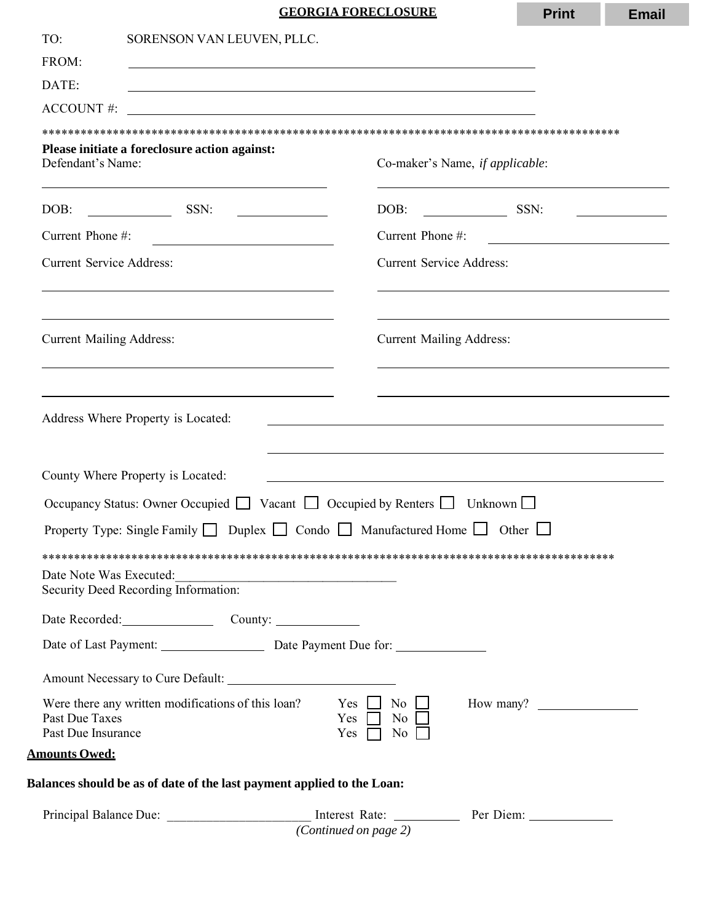## **GEORGIA FORECLOSURE**

|                                                                                                                                                     |                                                                                                                                                           | <b>GEORGIA FORECLOSURE</b>                                                   | <b>Print</b>                                                                                                                                        | <b>Email</b>                                                                                                         |  |
|-----------------------------------------------------------------------------------------------------------------------------------------------------|-----------------------------------------------------------------------------------------------------------------------------------------------------------|------------------------------------------------------------------------------|-----------------------------------------------------------------------------------------------------------------------------------------------------|----------------------------------------------------------------------------------------------------------------------|--|
| TO:                                                                                                                                                 | SORENSON VAN LEUVEN, PLLC.                                                                                                                                |                                                                              |                                                                                                                                                     |                                                                                                                      |  |
| FROM:                                                                                                                                               | <u> 1989 - Johann Stoff, amerikansk politiker (d. 1989)</u>                                                                                               |                                                                              |                                                                                                                                                     |                                                                                                                      |  |
| DATE:                                                                                                                                               |                                                                                                                                                           |                                                                              |                                                                                                                                                     |                                                                                                                      |  |
| <b>ACCOUNT #:</b>                                                                                                                                   |                                                                                                                                                           |                                                                              |                                                                                                                                                     |                                                                                                                      |  |
|                                                                                                                                                     |                                                                                                                                                           |                                                                              |                                                                                                                                                     |                                                                                                                      |  |
| Defendant's Name:                                                                                                                                   | Please initiate a foreclosure action against:                                                                                                             | Co-maker's Name, if applicable:                                              |                                                                                                                                                     |                                                                                                                      |  |
| DOB:                                                                                                                                                | SSN:<br><u> The Communication</u><br><u> 1989 - Jan Stein Stein Stein Stein Stein Stein Stein Stein Stein Stein Stein Stein Stein Stein Stein Stein S</u> | DOB:<br>$\overline{\phantom{a}}$ SSN:                                        |                                                                                                                                                     | <u> 1989 - Jan Stein Stein Stein Stein Stein Stein Stein Stein Stein Stein Stein Stein Stein Stein Stein Stein S</u> |  |
| Current Phone #:                                                                                                                                    | <u> 1980 - Johann Barbara, martxa alemaniar a</u>                                                                                                         | Current Phone #:                                                             |                                                                                                                                                     |                                                                                                                      |  |
| <b>Current Service Address:</b><br>and the control of the control of the control of the control of the control of the control of the control of the |                                                                                                                                                           |                                                                              | <b>Current Service Address:</b><br>and the control of the control of the control of the control of the control of the control of the control of the |                                                                                                                      |  |
| <b>Current Mailing Address:</b>                                                                                                                     | <u> 1989 - Johann Stoff, amerikansk politiker (d. 1989)</u>                                                                                               | <b>Current Mailing Address:</b>                                              |                                                                                                                                                     |                                                                                                                      |  |
|                                                                                                                                                     |                                                                                                                                                           |                                                                              |                                                                                                                                                     |                                                                                                                      |  |
|                                                                                                                                                     | Address Where Property is Located:<br>County Where Property is Located:                                                                                   | <u> 1989 - Andrea Santan Andrea Santan (h. 1989).</u>                        |                                                                                                                                                     |                                                                                                                      |  |
|                                                                                                                                                     | Occupancy Status: Owner Occupied ■ Vacant ■ Occupied by Renters ■ Unknown ■                                                                               |                                                                              |                                                                                                                                                     |                                                                                                                      |  |
|                                                                                                                                                     | Property Type: Single Family $\Box$ Duplex $\Box$ Condo $\Box$ Manufactured Home $\Box$ Other $\Box$                                                      |                                                                              |                                                                                                                                                     |                                                                                                                      |  |
|                                                                                                                                                     |                                                                                                                                                           |                                                                              |                                                                                                                                                     |                                                                                                                      |  |
| Date Note Was Executed:                                                                                                                             | Security Deed Recording Information:                                                                                                                      |                                                                              |                                                                                                                                                     |                                                                                                                      |  |
|                                                                                                                                                     | Date Recorded: County:                                                                                                                                    |                                                                              |                                                                                                                                                     |                                                                                                                      |  |
|                                                                                                                                                     | Date of Last Payment: Date Payment Due for:                                                                                                               |                                                                              |                                                                                                                                                     |                                                                                                                      |  |
|                                                                                                                                                     |                                                                                                                                                           |                                                                              |                                                                                                                                                     |                                                                                                                      |  |
| Past Due Taxes<br>Past Due Insurance                                                                                                                | Were there any written modifications of this loan?                                                                                                        | $Yes \t No \t How many? \t $<br>Yes $\Box$ No $\Box$<br>Yes $\Box$ No $\Box$ |                                                                                                                                                     |                                                                                                                      |  |
| <b>Amounts Owed:</b>                                                                                                                                |                                                                                                                                                           |                                                                              |                                                                                                                                                     |                                                                                                                      |  |
|                                                                                                                                                     | Balances should be as of date of the last payment applied to the Loan:                                                                                    |                                                                              |                                                                                                                                                     |                                                                                                                      |  |
|                                                                                                                                                     |                                                                                                                                                           | (Continued on page 2)                                                        |                                                                                                                                                     |                                                                                                                      |  |